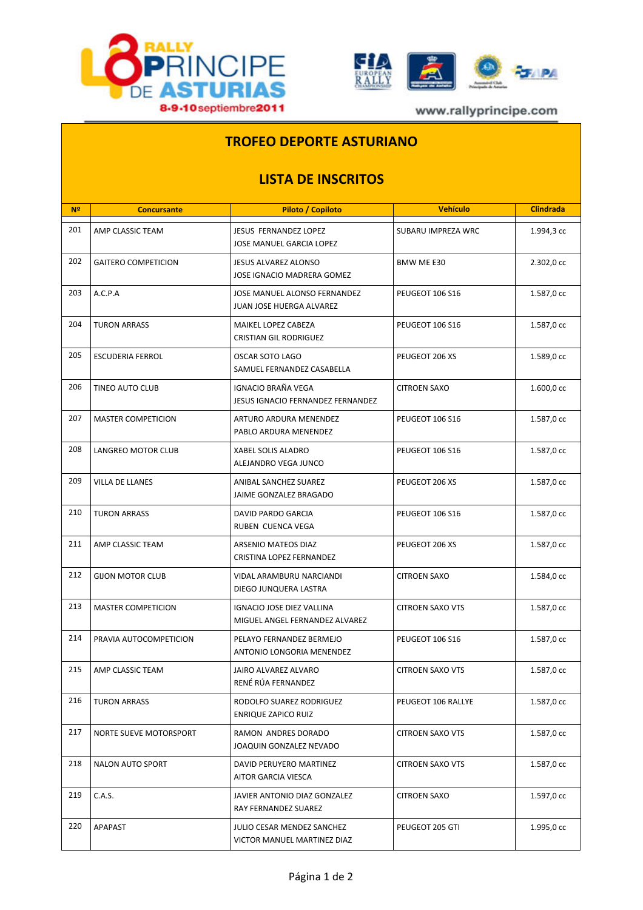



www.rallyprincipe.com

## **TROFEO DEPORTE ASTURIANO**

## **LISTA DE INSCRITOS**

| N <sup>2</sup> | <b>Concursante</b>         | Piloto / Copiloto                                           | <b>Vehículo</b>         | <b>Clindrada</b> |
|----------------|----------------------------|-------------------------------------------------------------|-------------------------|------------------|
| 201            | AMP CLASSIC TEAM           | JESUS FERNANDEZ LOPEZ<br>JOSE MANUEL GARCIA LOPEZ           | SUBARU IMPREZA WRC      | 1.994,3 cc       |
| 202            | <b>GAITERO COMPETICION</b> | <b>JESUS ALVAREZ ALONSO</b><br>JOSE IGNACIO MADRERA GOMEZ   | BMW ME E30              | 2.302,0 cc       |
| 203            | A.C.P.A                    | JOSE MANUEL ALONSO FERNANDEZ<br>JUAN JOSE HUERGA ALVAREZ    | PEUGEOT 106 S16         | 1.587,0 cc       |
| 204            | <b>TURON ARRASS</b>        | MAIKEL LOPEZ CABEZA<br><b>CRISTIAN GIL RODRIGUEZ</b>        | PEUGEOT 106 S16         | 1.587,0 cc       |
| 205            | <b>ESCUDERIA FERROL</b>    | OSCAR SOTO LAGO<br>SAMUEL FERNANDEZ CASABELLA               | PEUGEOT 206 XS          | 1.589,0 cc       |
| 206            | <b>TINEO AUTO CLUB</b>     | IGNACIO BRAÑA VEGA<br>JESUS IGNACIO FERNANDEZ FERNANDEZ     | <b>CITROEN SAXO</b>     | 1.600,0 cc       |
| 207            | <b>MASTER COMPETICION</b>  | ARTURO ARDURA MENENDEZ<br>PABLO ARDURA MENENDEZ             | PEUGEOT 106 S16         | 1.587,0 cc       |
| 208            | LANGREO MOTOR CLUB         | XABEL SOLIS ALADRO<br>ALEJANDRO VEGA JUNCO                  | <b>PEUGEOT 106 S16</b>  | 1.587,0 cc       |
| 209            | <b>VILLA DE LLANES</b>     | ANIBAL SANCHEZ SUAREZ<br>JAIME GONZALEZ BRAGADO             | PEUGEOT 206 XS          | 1.587,0 cc       |
| 210            | <b>TURON ARRASS</b>        | DAVID PARDO GARCIA<br>RUBEN CUENCA VEGA                     | PEUGEOT 106 S16         | 1.587,0 cc       |
| 211            | AMP CLASSIC TEAM           | ARSENIO MATEOS DIAZ<br>CRISTINA LOPEZ FERNANDEZ             | PEUGEOT 206 XS          | 1.587,0 cc       |
| 212            | <b>GIJON MOTOR CLUB</b>    | VIDAL ARAMBURU NARCIANDI<br>DIEGO JUNQUERA LASTRA           | <b>CITROEN SAXO</b>     | 1.584,0 cc       |
| 213            | <b>MASTER COMPETICION</b>  | IGNACIO JOSE DIEZ VALLINA<br>MIGUEL ANGEL FERNANDEZ ALVAREZ | <b>CITROEN SAXO VTS</b> | 1.587,0 cc       |
| 214            | PRAVIA AUTOCOMPETICION     | PELAYO FERNANDEZ BERMEJO<br>ANTONIO LONGORIA MENENDEZ       | PEUGEOT 106 S16         | 1.587,0 cc       |
| 215            | AMP CLASSIC TEAM           | JAIRO ALVAREZ ALVARO<br>RENÉ RÚA FERNANDEZ                  | <b>CITROEN SAXO VTS</b> | 1.587,0 cc       |
| 216            | <b>TURON ARRASS</b>        | RODOLFO SUAREZ RODRIGUEZ<br><b>ENRIQUE ZAPICO RUIZ</b>      | PEUGEOT 106 RALLYE      | 1.587,0 cc       |
| 217            | NORTE SUEVE MOTORSPORT     | RAMON ANDRES DORADO<br>JOAQUIN GONZALEZ NEVADO              | <b>CITROEN SAXO VTS</b> | 1.587,0 cc       |
| 218            | <b>NALON AUTO SPORT</b>    | DAVID PERUYERO MARTINEZ<br>AITOR GARCIA VIESCA              | <b>CITROEN SAXO VTS</b> | 1.587,0 cc       |
| 219            | C.A.S.                     | JAVIER ANTONIO DIAZ GONZALEZ<br>RAY FERNANDEZ SUAREZ        | <b>CITROEN SAXO</b>     | 1.597,0 cc       |
| 220            | APAPAST                    | JULIO CESAR MENDEZ SANCHEZ<br>VICTOR MANUEL MARTINEZ DIAZ   | PEUGEOT 205 GTI         | 1.995,0 cc       |